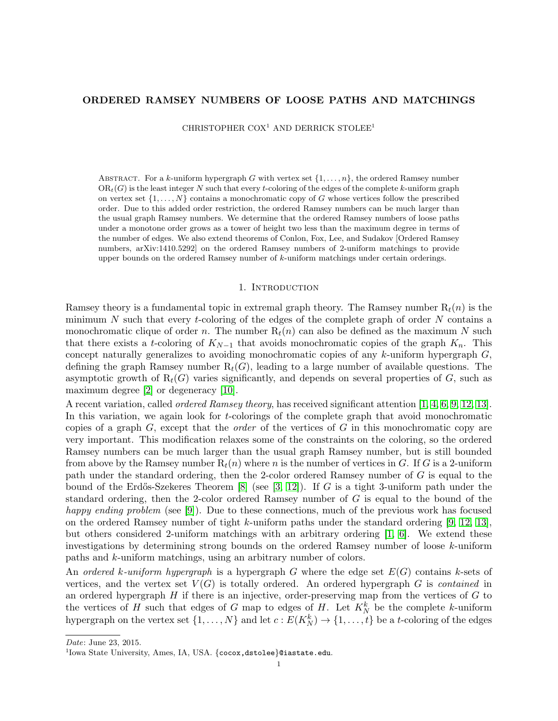## ORDERED RAMSEY NUMBERS OF LOOSE PATHS AND MATCHINGS

CHRISTOPHER COX<sup>1</sup> AND DERRICK STOLEE<sup>1</sup>

ABSTRACT. For a k-uniform hypergraph G with vertex set  $\{1, \ldots, n\}$ , the ordered Ramsey number  $OR<sub>t</sub>(G)$  is the least integer N such that every t-coloring of the edges of the complete k-uniform graph on vertex set  $\{1, \ldots, N\}$  contains a monochromatic copy of G whose vertices follow the prescribed order. Due to this added order restriction, the ordered Ramsey numbers can be much larger than the usual graph Ramsey numbers. We determine that the ordered Ramsey numbers of loose paths under a monotone order grows as a tower of height two less than the maximum degree in terms of the number of edges. We also extend theorems of Conlon, Fox, Lee, and Sudakov [Ordered Ramsey numbers, arXiv:1410.5292] on the ordered Ramsey numbers of 2-uniform matchings to provide upper bounds on the ordered Ramsey number of k-uniform matchings under certain orderings.

### 1. INTRODUCTION

Ramsey theory is a fundamental topic in extremal graph theory. The Ramsey number  $R_t(n)$  is the minimum  $N$  such that every t-coloring of the edges of the complete graph of order  $N$  contains a monochromatic clique of order n. The number  $R_t(n)$  can also be defined as the maximum N such that there exists a t-coloring of  $K_{N-1}$  that avoids monochromatic copies of the graph  $K_n$ . This concept naturally generalizes to avoiding monochromatic copies of any  $k$ -uniform hypergraph  $G$ , defining the graph Ramsey number  $R_t(G)$ , leading to a large number of available questions. The asymptotic growth of  $R_t(G)$  varies significantly, and depends on several properties of G, such as maximum degree [\[2\]](#page-8-0) or degeneracy [\[10\]](#page-8-1).

A recent variation, called ordered Ramsey theory, has received significant attention [\[1,](#page-8-2) [4,](#page-8-3) [6,](#page-8-4) [9,](#page-8-5) [12,](#page-8-6) [13\]](#page-8-7). In this variation, we again look for t-colorings of the complete graph that avoid monochromatic copies of a graph  $G$ , except that the *order* of the vertices of  $G$  in this monochromatic copy are very important. This modification relaxes some of the constraints on the coloring, so the ordered Ramsey numbers can be much larger than the usual graph Ramsey number, but is still bounded from above by the Ramsey number  $R_t(n)$  where n is the number of vertices in G. If G is a 2-uniform path under the standard ordering, then the 2-color ordered Ramsey number of G is equal to the bound of the Erdős-Szekeres Theorem [\[8\]](#page-8-8) (see  $[3, 12]$  $[3, 12]$ ). If G is a tight 3-uniform path under the standard ordering, then the 2-color ordered Ramsey number of G is equal to the bound of the happy ending problem (see [\[9\]](#page-8-5)). Due to these connections, much of the previous work has focused on the ordered Ramsey number of tight  $k$ -uniform paths under the standard ordering [\[9,](#page-8-5) [12,](#page-8-6) [13\]](#page-8-7), but others considered 2-uniform matchings with an arbitrary ordering [\[1,](#page-8-2) [6\]](#page-8-4). We extend these investigations by determining strong bounds on the ordered Ramsey number of loose k-uniform paths and k-uniform matchings, using an arbitrary number of colors.

An ordered k-uniform hypergraph is a hypergraph G where the edge set  $E(G)$  contains k-sets of vertices, and the vertex set  $V(G)$  is totally ordered. An ordered hypergraph G is contained in an ordered hypergraph  $H$  if there is an injective, order-preserving map from the vertices of  $G$  to the vertices of H such that edges of G map to edges of H. Let  $K_N^k$  be the complete k-uniform hypergraph on the vertex set  $\{1, \ldots, N\}$  and let  $c: E(K_N^k) \to \{1, \ldots, t\}$  be a t-coloring of the edges

Date: June 23, 2015.

 $^{1}$ Iowa State University, Ames, IA, USA. {cocox,dstolee}@iastate.edu.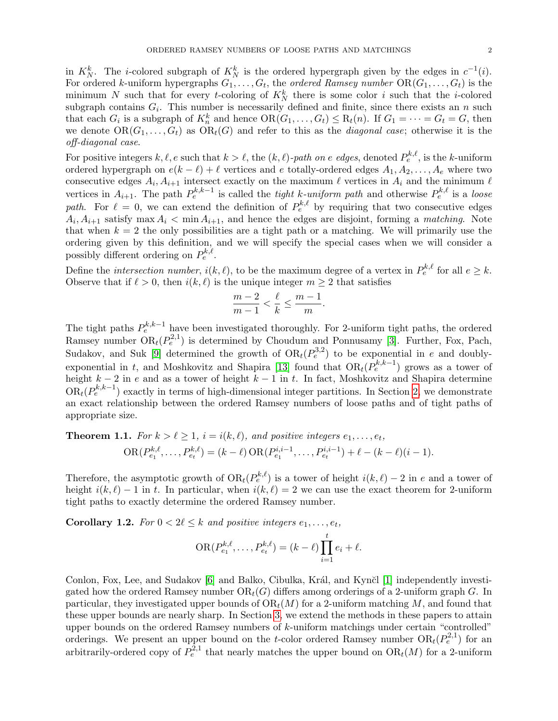in  $K_N^k$ . The *i*-colored subgraph of  $K_N^k$  is the ordered hypergraph given by the edges in  $c^{-1}(i)$ . For ordered k-uniform hypergraphs  $G_1, \ldots, G_t$ , the *ordered Ramsey number*  $\text{OR}(G_1, \ldots, G_t)$  is the minimum N such that for every t-coloring of  $K_N^k$  there is some color i such that the i-colored subgraph contains  $G_i$ . This number is necessarily defined and finite, since there exists an n such that each  $G_i$  is a subgraph of  $K_n^k$  and hence  $OR(G_1, ..., G_t) \leq R_t(n)$ . If  $G_1 = \cdots = G_t = G$ , then we denote  $OR(G_1, ..., G_t)$  as  $OR_t(G)$  and refer to this as the *diagonal case*; otherwise it is the off-diagonal case.

For positive integers  $k, \ell, e$  such that  $k > \ell$ , the  $(k, \ell)$ -path on e edges, denoted  $P_e^{k, \ell}$ , is the k-uniform ordered hypergraph on  $e(k - \ell) + \ell$  vertices and e totally-ordered edges  $A_1, A_2, \ldots, A_\ell$  where two consecutive edges  $A_i, A_{i+1}$  intersect exactly on the maximum  $\ell$  vertices in  $A_i$  and the minimum  $\ell$ vertices in  $A_{i+1}$ . The path  $P_e^{k,k-1}$  is called the *tight k-uniform path* and otherwise  $P_e^{k,\ell}$  is a *loose* path. For  $\ell = 0$ , we can extend the definition of  $P_e^{k,\ell}$  by requiring that two consecutive edges  $A_i, A_{i+1}$  satisfy max  $A_i < \min A_{i+1}$ , and hence the edges are disjoint, forming a *matching*. Note that when  $k = 2$  the only possibilities are a tight path or a matching. We will primarily use the ordering given by this definition, and we will specify the special cases when we will consider a possibly different ordering on  $P_e^{k,\ell}$ .

Define the *intersection number*,  $i(k, \ell)$ , to be the maximum degree of a vertex in  $P_e^{k,\ell}$  for all  $e \geq k$ . Observe that if  $\ell > 0$ , then  $i(k, \ell)$  is the unique integer  $m \geq 2$  that satisfies

$$
\frac{m-2}{m-1} < \frac{\ell}{k} \le \frac{m-1}{m}.
$$

The tight paths  $P_e^{k,k-1}$  have been investigated thoroughly. For 2-uniform tight paths, the ordered Ramsey number  $OR_t(P_e^{2,1})$  is determined by Choudum and Ponnusamy [\[3\]](#page-8-9). Further, Fox, Pach, Sudakov, and Suk [\[9\]](#page-8-5) determined the growth of  $OR_t(P_e^{3,2})$  to be exponential in e and doubly-exponential in t, and Moshkovitz and Shapira [\[13\]](#page-8-7) found that  $OR_t(P_e^{k,k-1})$  grows as a tower of height  $k-2$  in e and as a tower of height  $k-1$  in t. In fact, Moshkovitz and Shapira determine  $OR<sub>t</sub>(P<sub>e</sub><sup>k,k-1</sup>)$  exactly in terms of high-dimensional integer partitions. In Section [2,](#page-2-0) we demonstrate an exact relationship between the ordered Ramsey numbers of loose paths and of tight paths of appropriate size.

<span id="page-1-0"></span>**Theorem 1.1.** For 
$$
k > \ell \ge 1
$$
,  $i = i(k, \ell)$ , and positive integers  $e_1, ..., e_t$ ,  
\n
$$
OR(P_{e_1}^{k,\ell}, ..., P_{e_t}^{k,\ell}) = (k - \ell) OR(P_{e_1}^{i,i-1}, ..., P_{e_t}^{i,i-1}) + \ell - (k - \ell)(i - 1).
$$

Therefore, the asymptotic growth of  $OR_t(P_e^{k,\ell})$  is a tower of height  $i(k,\ell) - 2$  in e and a tower of height  $i(k, \ell) - 1$  in t. In particular, when  $i(k, \ell) = 2$  we can use the exact theorem for 2-uniform tight paths to exactly determine the ordered Ramsey number.

**Corollary 1.2.** For  $0 < 2\ell \leq k$  and positive integers  $e_1, \ldots, e_t$ ,

$$
OR(P_{e_1}^{k,\ell},\ldots,P_{e_t}^{k,\ell}) = (k-\ell)\prod_{i=1}^t e_i + \ell.
$$

Conlon, Fox, Lee, and Sudakov [\[6\]](#page-8-4) and Balko, Cibulka, Král, and Kynčl [\[1\]](#page-8-2) independently investigated how the ordered Ramsey number  $OR<sub>t</sub>(G)$  differs among orderings of a 2-uniform graph G. In particular, they investigated upper bounds of  $OR<sub>t</sub>(M)$  for a 2-uniform matching M, and found that these upper bounds are nearly sharp. In Section [3,](#page-3-0) we extend the methods in these papers to attain upper bounds on the ordered Ramsey numbers of k-uniform matchings under certain "controlled" orderings. We present an upper bound on the t-color ordered Ramsey number  $OR_t(P_e^{2,1})$  for an arbitrarily-ordered copy of  $P_e^{2,1}$  that nearly matches the upper bound on  $\text{OR}_t(M)$  for a 2-uniform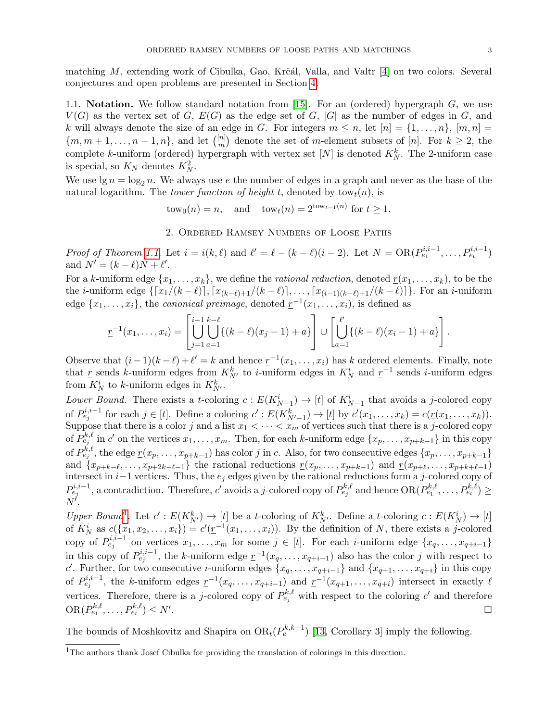matching  $M$ , extending work of Cibulka, Gao, Krčál, Valla, and Valtr  $[4]$  on two colors. Several conjectures and open problems are presented in Section [4.](#page-7-0)

1.1. Notation. We follow standard notation from  $[15]$ . For an (ordered) hypergraph  $G$ , we use  $V(G)$  as the vertex set of G,  $E(G)$  as the edge set of G, |G| as the number of edges in G, and k will always denote the size of an edge in G. For integers  $m \leq n$ , let  $[n] = \{1, \ldots, n\}$ ,  $[m, n] =$  $\{m, m+1, \ldots, n-1, n\}$ , and let  $\binom{[n]}{m}$  $\binom{[n]}{m}$  denote the set of m-element subsets of [n]. For  $k \geq 2$ , the complete k-uniform (ordered) hypergraph with vertex set  $[N]$  is denoted  $K_N^k$ . The 2-uniform case is special, so  $K_N$  denotes  $K_N^2$ .

We use  $\lg n = \log_2 n$ . We always use e the number of edges in a graph and never as the base of the natural logarithm. The *tower function of height t*, denoted by  $tow_t(n)$ , is

 $tow_0(n) = n$ , and  $tow_t(n) = 2^{tow_{t-1}(n)}$  for  $t \ge 1$ .

2. Ordered Ramsey Numbers of Loose Paths

<span id="page-2-0"></span>Proof of Theorem [1.1.](#page-1-0) Let  $i = i(k, \ell)$  and  $\ell' = \ell - (k - \ell)(i - 2)$ . Let  $N = OR(P_{e_1}^{i,i-1}, \ldots, P_{e_t}^{i,i-1})$ and  $N' = (k - \ell)N + \ell'.$ 

For a k-uniform edge  $\{x_1, \ldots, x_k\}$ , we define the *rational reduction*, denoted  $r(x_1, \ldots, x_k)$ , to be the the *i*-uniform edge  $\{[x_1/(k - \ell)], [x_{(k-\ell)+1}/(k - \ell)], \ldots, [x_{(i-1)(k-\ell)+1}/(k - \ell)]\}$ . For an *i*-uniform edge  $\{x_1, \ldots, x_i\}$ , the *canonical preimage*, denoted  $\underline{r}^{-1}(x_1, \ldots, x_i)$ , is defined as

$$
\underline{r}^{-1}(x_1,\ldots,x_i) = \left[\bigcup_{j=1}^{i-1} \bigcup_{a=1}^{k-\ell} \{(k-\ell)(x_j-1)+a\}\right] \cup \left[\bigcup_{a=1}^{\ell'} \{(k-\ell)(x_i-1)+a\}\right].
$$

Observe that  $(i-1)(k-\ell) + \ell' = k$  and hence  $\underline{r}^{-1}(x_1,\ldots,x_i)$  has k ordered elements. Finally, note that  $\underline{r}$  sends k-uniform edges from  $K_{N'}^k$  to i-uniform edges in  $K_N^i$  and  $\underline{r}^{-1}$  sends i-uniform edges from  $K_N^i$  to k-uniform edges in  $K_{N'}^k$ .

Lower Bound. There exists a t-coloring  $c: E(K_{N-1}^i) \to [t]$  of  $K_{N-1}^i$  that avoids a j-colored copy of  $P_{e_j}^{i,i-1}$  for each  $j \in [t]$ . Define a coloring  $c' : E(K_{N'-1}^k) \to [t]$  by  $c'(x_1, \ldots, x_k) = c(\underline{r}(x_1, \ldots, x_k))$ . Suppose that there is a color j and a list  $x_1 < \cdots < x_m$  of vertices such that there is a j-colored copy of  $P_{e_j}^{k,\ell}$  in c' on the vertices  $x_1, \ldots, x_m$ . Then, for each k-uniform edge  $\{x_p, \ldots, x_{p+k-1}\}$  in this copy of  $P_{e_j}^{k,\ell}$ , the edge  $\underline{r}(x_p,\ldots,x_{p+k-1})$  has color j in c. Also, for two consecutive edges  $\{x_p,\ldots,x_{p+k-1}\}$ and  $\{x_{p+k-\ell}, \ldots, x_{p+2k-\ell-1}\}\$  the rational reductions  $\underline{r}(x_p, \ldots, x_{p+k-1})$  and  $\underline{r}(x_{p+\ell}, \ldots, x_{p+k+\ell-1})$ intersect in  $i-1$  vertices. Thus, the  $e_j$  edges given by the rational reductions form a j-colored copy of  $P_{e_j}^{i,i-1}$ , a contradiction. Therefore, c'avoids a j-colored copy of  $P_{e_j}^{k,\ell}$  and hence  $OR(P_{e_1}^{k,\ell}, \ldots, P_{e_t}^{k,\ell}) \ge$  $N^{\check{\prime}}.$ 

Upper Bound<sup>[1](#page-2-1)</sup>. Let  $c': E(K_{N'}^k) \to [t]$  be a t-coloring of  $K_{N'}^k$ . Define a t-coloring  $c: E(K_N^i) \to [t]$ of  $K_N^i$  as  $c({x_1, x_2, \ldots, x_i}) = c'(\underline{r}^{-1}(x_1, \ldots, x_i))$ . By the definition of N, there exists a j-colored copy of  $P_{e_j}^{i,i-1}$  on vertices  $x_1, \ldots, x_m$  for some  $j \in [t]$ . For each *i*-uniform edge  $\{x_q, \ldots, x_{q+i-1}\}$ in this copy of  $P_{e_j}^{i,i-1}$ , the k-uniform edge  $\underline{r}^{-1}(x_q,\ldots,x_{q+i-1})$  also has the color j with respect to c'. Further, for two consecutive *i*-uniform edges  $\{x_q, \ldots, x_{q+i-1}\}\$  and  $\{x_{q+1}, \ldots, x_{q+i}\}\$ in this copy of  $P_{e_j}^{i,i-1}$ , the k-uniform edges  $\underline{r}^{-1}(x_q,\ldots,x_{q+i-1})$  and  $\underline{r}^{-1}(x_{q+1},\ldots,x_{q+i})$  intersect in exactly  $\ell$ vertices. Therefore, there is a j-colored copy of  $P_{e_j}^{k,\ell}$  with respect to the coloring  $c'$  and therefore  $\mathrm{OR}(P_{e_1}^{k,\ell},\ldots,P_{e_t}^{k,\ell})\leq N'$ . В последните последните последните последните последните последните последните последните последните последн<br>В 1990 година от селото на селото на селото на селото на селото на селото на селото на селото на селото на сел

The bounds of Moshkovitz and Shapira on  $OR_t(P_e^{k,k-1})$  [\[13,](#page-8-7) Corollary 3] imply the following.

<span id="page-2-1"></span><sup>1</sup>The authors thank Josef Cibulka for providing the translation of colorings in this direction.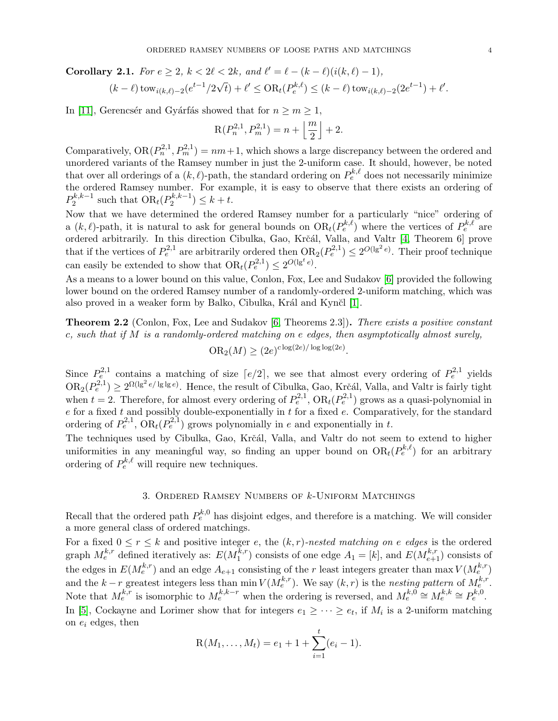**Corollary 2.1.** For  $e \geq 2$ ,  $k < 2\ell < 2k$ , and  $\ell' = \ell - (k - \ell)(i(k, \ell) - 1)$ , √

$$
(k-\ell)\operatorname{tow}_{i(k,\ell)-2}(e^{t-1}/2\sqrt{t})+\ell' \leq \operatorname{OR}_{t}(P_e^{k,\ell}) \leq (k-\ell)\operatorname{tow}_{i(k,\ell)-2}(2e^{t-1})+\ell'.
$$

In [\[11\]](#page-8-11), Gerencsér and Gyárfás showed that for  $n \geq m \geq 1$ ,

$$
R(P_n^{2,1}, P_m^{2,1}) = n + \left\lfloor \frac{m}{2} \right\rfloor + 2.
$$

Comparatively,  $OR(P_n^{2,1}, P_m^{2,1}) = nm+1$ , which shows a large discrepancy between the ordered and unordered variants of the Ramsey number in just the 2-uniform case. It should, however, be noted that over all orderings of a  $(k, \ell)$ -path, the standard ordering on  $P_e^{k, \ell}$  does not necessarily minimize the ordered Ramsey number. For example, it is easy to observe that there exists an ordering of  $P_2^{k,k-1}$  $P_2^{k,k-1}$  such that  $OR_t(P_2^{k,k-1})$  $2^{k,k-1}$ )  $\leq k+t$ .

Now that we have determined the ordered Ramsey number for a particularly "nice" ordering of a  $(k, \ell)$ -path, it is natural to ask for general bounds on  $OR_t(P_e^{k,\ell})$  where the vertices of  $P_e^{k,\ell}$  are ordered arbitrarily. In this direction Cibulka, Gao, Krčál, Valla, and Valtr [\[4,](#page-8-3) Theorem 6] prove that if the vertices of  $P_e^{2,1}$  are arbitrarily ordered then  $OR_2(P_e^{2,1}) \leq 2^{O(\lg^2 e)}$ . Their proof technique can easily be extended to show that  $OR_t(P_e^{2,1}) \leq 2^{O(\lg^t e)}$ .

As a means to a lower bound on this value, Conlon, Fox, Lee and Sudakov [\[6\]](#page-8-4) provided the following lower bound on the ordered Ramsey number of a randomly-ordered 2-uniform matching, which was also proved in a weaker form by Balko, Cibulka, Král and Kynčl [\[1\]](#page-8-2).

<span id="page-3-1"></span>Theorem 2.2 (Conlon, Fox, Lee and Sudakov [\[6,](#page-8-4) Theorems 2.3]). There exists a positive constant c, such that if  $M$  is a randomly-ordered matching on e edges, then asymptotically almost surely,

$$
OR2(M) \ge (2e)^{c \log(2e)/\log \log(2e)}.
$$

Since  $P_e^{2,1}$  contains a matching of size  $\lceil e/2 \rceil$ , we see that almost every ordering of  $P_e^{2,1}$  yields  $OR_2(P_e^{2,1}) \geq 2^{\Omega(\lg^2 e/\lg\lg e)}$ . Hence, the result of Cibulka, Gao, Krčál, Valla, and Valtr is fairly tight when  $t = 2$ . Therefore, for almost every ordering of  $P_e^{2,1}$ ,  $OR_t(P_e^{2,1})$  grows as a quasi-polynomial in  $e$  for a fixed t and possibly double-exponentially in t for a fixed  $e$ . Comparatively, for the standard ordering of  $P_e^{2,1}$ ,  $OR_t(P_e^{2,1})$  grows polynomially in e and exponentially in t.

The techniques used by Cibulka, Gao, Krčál, Valla, and Valtr do not seem to extend to higher uniformities in any meaningful way, so finding an upper bound on  $OR_t(P_e^{k,\ell})$  for an arbitrary ordering of  $P_e^{k,\ell}$  will require new techniques.

# 3. Ordered Ramsey Numbers of k-Uniform Matchings

<span id="page-3-0"></span>Recall that the ordered path  $P_e^{k,0}$  has disjoint edges, and therefore is a matching. We will consider a more general class of ordered matchings.

For a fixed  $0 \le r \le k$  and positive integer e, the  $(k, r)$ -nested matching on e edges is the ordered graph  $M_e^{k,r}$  defined iteratively as:  $E(M_1^{k,r})$  $j_1^{k,r}$ ) consists of one edge  $A_1 = [k]$ , and  $E(M_{e+1}^{k,r})$  consists of the edges in  $E(M_e^{k,r})$  and an edge  $A_{e+1}$  consisting of the r least integers greater than max  $V(M_e^{k,r})$ and the  $k-r$  greatest integers less than min  $V(M_e^{k,r})$ . We say  $(k, r)$  is the nesting pattern of  $M_e^{k,r}$ . Note that  $M_e^{k,r}$  is isomorphic to  $M_e^{k,k-r}$  when the ordering is reversed, and  $M_e^{k,0} \cong M_e^{k,k} \cong P_e^{k,0}$ . In [\[5\]](#page-8-12), Cockayne and Lorimer show that for integers  $e_1 \geq \cdots \geq e_t$ , if  $M_i$  is a 2-uniform matching

on 
$$
e_i
$$
 edges, then

$$
R(M_1,\ldots,M_t) = e_1 + 1 + \sum_{i=1}^t (e_i - 1).
$$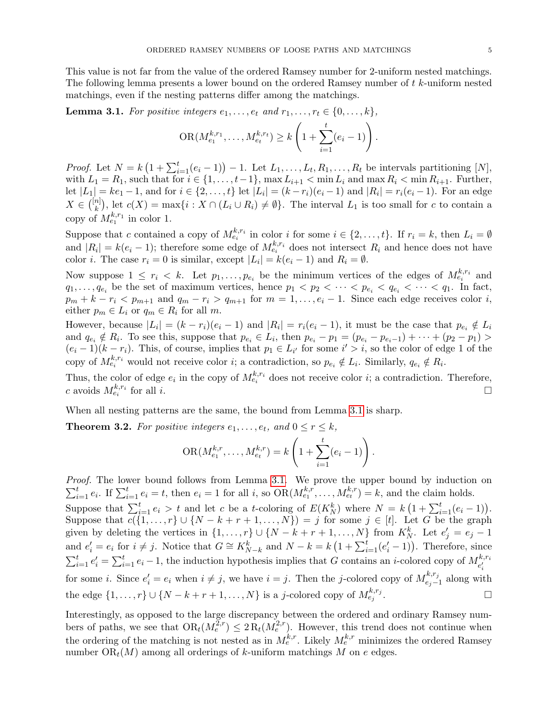This value is not far from the value of the ordered Ramsey number for 2-uniform nested matchings. The following lemma presents a lower bound on the ordered Ramsey number of t k-uniform nested matchings, even if the nesting patterns differ among the matchings.

<span id="page-4-0"></span>**Lemma 3.1.** For positive integers  $e_1, \ldots, e_t$  and  $r_1, \ldots, r_t \in \{0, \ldots, k\}$ ,

$$
OR(M_{e_1}^{k,r_1},\ldots,M_{e_t}^{k,r_t}) \ge k\left(1+\sum_{i=1}^t(e_i-1)\right).
$$

*Proof.* Let  $N = k \left(1 + \sum_{i=1}^{t} (e_i - 1) \right) - 1$ . Let  $L_1, \ldots, L_t, R_1, \ldots, R_t$  be intervals partitioning [N], with  $L_1 = R_1$ , such that for  $i \in \{1, \ldots, t-1\}$ ,  $\max L_{i+1} < \min L_i$  and  $\max R_i < \min R_{i+1}$ . Further, let  $|L_1| = ke_1 - 1$ , and for  $i \in \{2, ..., t\}$  let  $|L_i| = (k - r_i)(e_i - 1)$  and  $|R_i| = r_i(e_i - 1)$ . For an edge  $X \in \binom{[n]}{k}$  $\binom{n}{k}$ , let  $c(X) = \max\{i : X \cap (L_i \cup R_i) \neq \emptyset\}$ . The interval  $L_1$  is too small for c to contain a copy of  $M_{e_1}^{k,r_1}$  in color 1.

Suppose that c contained a copy of  $M_{e_i}^{k,r_i}$  in color i for some  $i \in \{2,\ldots,t\}$ . If  $r_i = k$ , then  $L_i = \emptyset$ and  $|R_i| = k(e_i - 1)$ ; therefore some edge of  $M_{e_i}^{k,r_i}$  does not intersect  $R_i$  and hence does not have color *i*. The case  $r_i = 0$  is similar, except  $|L_i| = k(e_i - 1)$  and  $R_i = \emptyset$ .

Now suppose  $1 \leq r_i \leq k$ . Let  $p_1, \ldots, p_{e_i}$  be the minimum vertices of the edges of  $M_{e_i}^{k,r_i}$  and  $q_1, \ldots, q_{e_i}$  be the set of maximum vertices, hence  $p_1 < p_2 < \cdots < p_{e_i} < q_{e_i} < \cdots < q_1$ . In fact,  $p_m + k - r_i < p_{m+1}$  and  $q_m - r_i > q_{m+1}$  for  $m = 1, \ldots, e_i - 1$ . Since each edge receives color i, either  $p_m \in L_i$  or  $q_m \in R_i$  for all m.

However, because  $|L_i| = (k - r_i)(e_i - 1)$  and  $|R_i| = r_i(e_i - 1)$ , it must be the case that  $p_{e_i} \notin L_i$ and  $q_{e_i} \notin R_i$ . To see this, suppose that  $p_{e_i} \in L_i$ , then  $p_{e_i} - p_1 = (p_{e_i} - p_{e_i-1}) + \cdots + (p_2 - p_1) >$  $(e_i-1)(k-r_i)$ . This, of course, implies that  $p_1 \in L_{i'}$  for some  $i' > i$ , so the color of edge 1 of the copy of  $M_{e_i}^{k,r_i}$  would not receive color *i*; a contradiction, so  $p_{e_i} \notin L_i$ . Similarly,  $q_{e_i} \notin R_i$ .

Thus, the color of edge  $e_i$  in the copy of  $M_{e_i}^{k,r_i}$  does not receive color i; a contradiction. Therefore, c avoids  $M_{e_i}^{k,r_i}$ for all i.

When all nesting patterns are the same, the bound from Lemma [3.1](#page-4-0) is sharp.

**Theorem 3.2.** For positive integers  $e_1, \ldots, e_t$ , and  $0 \le r \le k$ ,

OR
$$
(M_{e_1}^{k,r},...,M_{e_t}^{k,r})=k\left(1+\sum_{i=1}^t(e_i-1)\right).
$$

Proof. The lower bound follows from Lemma [3.1.](#page-4-0) We prove the upper bound by induction on  $\sum_{i=1}^t e_i$ . If  $\sum_{i=1}^t e_i = t$ , then  $e_i = 1$  for all i, so  $OR(M_{e_1}^{k,r}, \ldots, M_{e_t}^{k,r}) = k$ , and the claim holds.

Suppose that  $\sum_{i=1}^{t} e_i > t$  and let c be a t-coloring of  $E(K_N^k)$  where  $N = k(1 + \sum_{i=1}^{t} (e_i - 1)).$ Suppose that  $c({1, \ldots}, r] \cup {N-k+r+1}, \ldots, N) = j$  for some  $j \in [t]$ . Let G be the graph given by deleting the vertices in  $\{1, \ldots, r\} \cup \{N - k + r + 1, \ldots, N\}$  from  $K_N^k$ . Let  $e'_j = e_j - 1$ and  $e'_i = e_i$  for  $i \neq j$ . Notice that  $G \cong K_{N-k}^k$  and  $N-k=k(1+\sum_{i=1}^t (e'_i-1))$ . Therefore, since  $\sum_{i=1}^t e'_i = \sum_{i=1}^t e_i - 1$ , the induction hypothesis implies that G contains an *i*-colored copy of  $M_{e'_i}^{k,r_i}$  $e_i'$ i for some *i*. Since  $e'_i = e_i$  when  $i \neq j$ , we have  $i = j$ . Then the *j*-colored copy of  $M_{e_j}^{k,r_j}$  $e_{j-1}^{k,r_j}$  along with the edge  $\{1,\ldots,r\} \cup \{N-k+r+1,\ldots,N\}$  is a j-colored copy of  $M_{e_j}^{k,r_j}$ . В последните и последните и последните и последните и последните и последните и последните и последните и по<br>В последните и последните и последните и последните и последните и последните и последните и последните и посл

Interestingly, as opposed to the large discrepancy between the ordered and ordinary Ramsey numbers of paths, we see that  $OR_t(M_e^{\bar{2},r}) \leq 2R_t(M_e^{2,r})$ . However, this trend does not continue when the ordering of the matching is not nested as in  $M_e^{k,r}$ . Likely  $M_e^{k,r}$  minimizes the ordered Ramsey number  $OR<sub>t</sub>(M)$  among all orderings of k-uniform matchings M on e edges.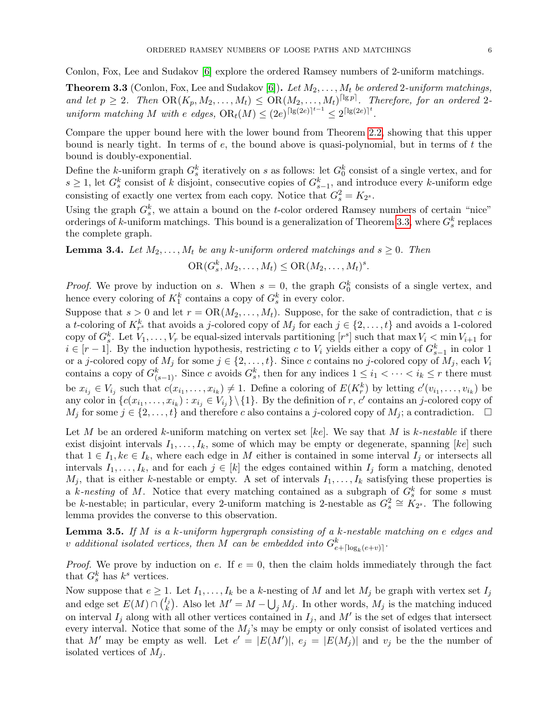Conlon, Fox, Lee and Sudakov [\[6\]](#page-8-4) explore the ordered Ramsey numbers of 2-uniform matchings.

<span id="page-5-0"></span>**Theorem 3.3** (Conlon, Fox, Lee and Sudakov [\[6\]](#page-8-4)). Let  $M_2, \ldots, M_t$  be ordered 2-uniform matchings, and let  $p \geq 2$ . Then  $OR(K_p, M_2, \ldots, M_t) \leq OR(M_2, \ldots, M_t)^{\lceil \lg p \rceil}$ . Therefore, for an ordered 2uniform matching M with e edges,  $OR_t(M) \leq (2e)^{\lceil \lg(2e) \rceil^{t-1}} \leq 2^{\lceil \lg(2e) \rceil^{t}}$ .

Compare the upper bound here with the lower bound from Theorem [2.2,](#page-3-1) showing that this upper bound is nearly tight. In terms of  $e$ , the bound above is quasi-polynomial, but in terms of  $t$  the bound is doubly-exponential.

Define the k-uniform graph  $G_s^k$  iteratively on s as follows: let  $G_0^k$  consist of a single vertex, and for  $s \geq 1$ , let  $G_s^k$  consist of k disjoint, consecutive copies of  $G_{s-1}^k$ , and introduce every k-uniform edge consisting of exactly one vertex from each copy. Notice that  $G_s^2 = K_{2^s}$ .

Using the graph  $G_s^k$ , we attain a bound on the t-color ordered Ramsey numbers of certain "nice" orderings of k-uniform matchings. This bound is a generalization of Theorem [3.3,](#page-5-0) where  $G_s^k$  replaces the complete graph.

<span id="page-5-2"></span>**Lemma 3.4.** Let  $M_2, \ldots, M_t$  be any k-uniform ordered matchings and  $s \geq 0$ . Then

$$
\mathrm{OR}(G_s^k, M_2, \ldots, M_t) \leq \mathrm{OR}(M_2, \ldots, M_t)^s.
$$

*Proof.* We prove by induction on s. When  $s = 0$ , the graph  $G_0^k$  consists of a single vertex, and hence every coloring of  $K_1^k$  contains a copy of  $G_s^k$  in every color.

Suppose that  $s > 0$  and let  $r = OR(M_2, \ldots, M_t)$ . Suppose, for the sake of contradiction, that c is a t-coloring of  $K_{r^s}^k$  that avoids a j-colored copy of  $M_j$  for each  $j \in \{2, \ldots, t\}$  and avoids a 1-colored copy of  $G_s^k$ . Let  $V_1, \ldots, V_r$  be equal-sized intervals partitioning  $[r^s]$  such that  $\max V_i < \min V_{i+1}$  for  $i \in [r-1]$ . By the induction hypothesis, restricting c to  $V_i$  yields either a copy of  $G_{s-1}^k$  in color 1 or a j-colored copy of  $M_j$  for some  $j \in \{2, \ldots, t\}$ . Since c contains no j-colored copy of  $M_j$ , each  $V_i$ contains a copy of  $G_{(s-1)}^k$ . Since c avoids  $G_s^k$ , then for any indices  $1 \leq i_1 < \cdots < i_k \leq r$  there must be  $x_{i_j} \in V_{i_j}$  such that  $c(x_{i_1},...,x_{i_k}) \neq 1$ . Define a coloring of  $E(K_r^k)$  by letting  $c'(v_{i_1},...,v_{i_k})$  be any color in  $\{c(x_{i_1},...,x_{i_k}): x_{i_j} \in V_{i_j}\}\setminus\{1\}$ . By the definition of r, c' contains an j-colored copy of  $M_j$  for some  $j \in \{2, \ldots, t\}$  and therefore c also contains a j-colored copy of  $M_j$ ; a contradiction.  $\Box$ 

Let M be an ordered k-uniform matching on vertex set [ke]. We say that M is k-nestable if there exist disjoint intervals  $I_1, \ldots, I_k$ , some of which may be empty or degenerate, spanning [ke] such that  $1 \in I_1, ke \in I_k$ , where each edge in M either is contained in some interval  $I_j$  or intersects all intervals  $I_1, \ldots, I_k$ , and for each  $j \in [k]$  the edges contained within  $I_j$  form a matching, denoted  $M_j$ , that is either k-nestable or empty. A set of intervals  $I_1, \ldots, I_k$  satisfying these properties is a k-nesting of M. Notice that every matching contained as a subgraph of  $G_s^k$  for some s must be k-nestable; in particular, every 2-uniform matching is 2-nestable as  $G_s^2 \cong K_{2^s}$ . The following lemma provides the converse to this observation.

<span id="page-5-1"></span>**Lemma 3.5.** If M is a k-uniform hypergraph consisting of a k-nestable matching on e edges and v additional isolated vertices, then M can be embedded into  $G_{e+\lceil\log_k(e+v)\rceil}^k$ .

*Proof.* We prove by induction on e. If  $e = 0$ , then the claim holds immediately through the fact that  $G_s^k$  has  $k^s$  vertices.

Now suppose that  $e \geq 1$ . Let  $I_1, \ldots, I_k$  be a k-nesting of M and let  $M_j$  be graph with vertex set  $I_j$ and edge set  $E(M) \cap {I_i \choose k}$ . Also let  $M' = M - \bigcup_j M_j$ . In other words,  $M_j$  is the matching induced on interval  $I_j$  along with all other vertices contained in  $I_j$ , and M' is the set of edges that intersect every interval. Notice that some of the  $M_i$ 's may be empty or only consist of isolated vertices and that M' may be empty as well. Let  $e' = |E(M')|$ ,  $e_j = |E(M_j)|$  and  $v_j$  be the the number of isolated vertices of  $M_i$ .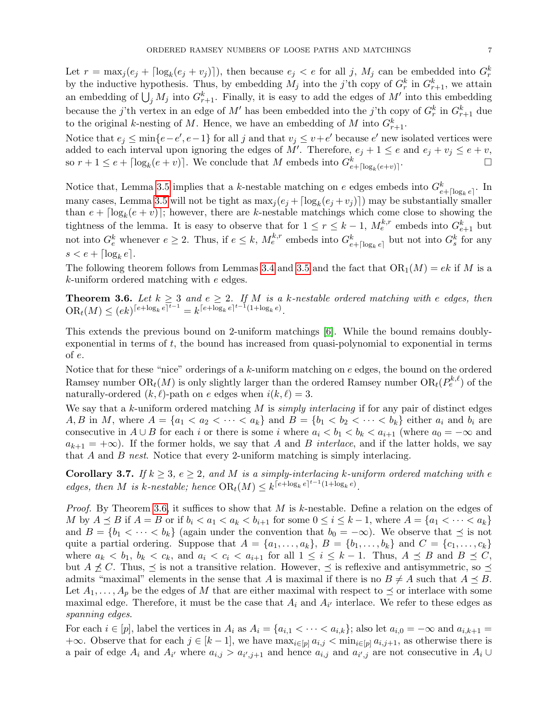Let  $r = \max_j (e_j + \lceil \log_k(e_j + v_j) \rceil)$ , then because  $e_j < e$  for all j,  $M_j$  can be embedded into  $G_r^k$ by the inductive hypothesis. Thus, by embedding  $M_j$  into the j'th copy of  $G_r^k$  in  $G_{r+1}^k$ , we attain an embedding of  $\bigcup_j M_j$  into  $G_{r+1}^k$ . Finally, it is easy to add the edges of  $M'$  into this embedding because the *j*'th vertex in an edge of M' has been embedded into the *j*'th copy of  $G_r^k$  in  $G_{r+1}^k$  due to the original k-nesting of M. Hence, we have an embedding of M into  $G_{r+1}^k$ .

Notice that  $e_j \le \min\{e-e', e-1\}$  for all j and that  $v_j \le v+e'$  because  $e'$  new isolated vertices were added to each interval upon ignoring the edges of M'. Therefore,  $e_j + 1 \le e$  and  $e_j + v_j \le e + v$ , so  $r + 1 \le e + \lceil \log_k(e + v) \rceil$ . We conclude that M embeds into  $G_{e + \lceil \log_k(e + v) \rceil}^k$ .

Notice that, Lemma [3.5](#page-5-1) implies that a k-nestable matching on e edges embeds into  $G_{e+\lceil \log_k e \rceil}^k$ . In many cases, Lemma [3.5](#page-5-1) will not be tight as  $\max_j (e_j + \lceil \log_k(e_j + v_j) \rceil)$  may be substantially smaller than  $e + \lceil \log_k(e + v) \rceil$ ; however, there are k-nestable matchings which come close to showing the tightness of the lemma. It is easy to observe that for  $1 \le r \le k-1$ ,  $M_e^{k,r}$  embeds into  $G_{e+1}^k$  but not into  $G_e^k$  whenever  $e \geq 2$ . Thus, if  $e \leq k$ ,  $M_e^{k,r}$  embeds into  $G_{e+\lceil \log_k e \rceil}^k$  but not into  $G_s^k$  for any  $s < e + \lceil \log_k e \rceil$ .

The following theorem follows from Lemmas [3.4](#page-5-2) and [3.5](#page-5-1) and the fact that  $OR_1(M) = ek$  if M is a  $k$ -uniform ordered matching with  $e$  edges.

<span id="page-6-0"></span>**Theorem 3.6.** Let  $k \geq 3$  and  $e \geq 2$ . If M is a k-nestable ordered matching with e edges, then  $\text{OR}_{t}(M) \leq (ek)^{\lceil e + \log_{k} e \rceil^{t-1}} = k^{\lceil e + \log_{k} e \rceil^{t-1}(1 + \log_{k} e)}.$ 

This extends the previous bound on 2-uniform matchings [\[6\]](#page-8-4). While the bound remains doublyexponential in terms of  $t$ , the bound has increased from quasi-polynomial to exponential in terms of e.

Notice that for these "nice" orderings of a  $k$ -uniform matching on  $e$  edges, the bound on the ordered Ramsey number  $\text{OR}_t(M)$  is only slightly larger than the ordered Ramsey number  $\text{OR}_t(P_e^{\text{k}, \ell})$  of the naturally-ordered  $(k, \ell)$ -path on e edges when  $i(k, \ell) = 3$ .

We say that a  $k$ -uniform ordered matching  $M$  is *simply interlacing* if for any pair of distinct edges A, B in M, where  $A = \{a_1 < a_2 < \cdots < a_k\}$  and  $B = \{b_1 < b_2 < \cdots < b_k\}$  either  $a_i$  and  $b_i$  are consecutive in  $A \cup B$  for each i or there is some i where  $a_i < b_1 < b_k < a_{i+1}$  (where  $a_0 = -\infty$  and  $a_{k+1} = +\infty$ ). If the former holds, we say that A and B interlace, and if the latter holds, we say that A and B nest. Notice that every 2-uniform matching is simply interlacing.

Corollary 3.7. If  $k \geq 3$ ,  $e \geq 2$ , and M is a simply-interlacing k-uniform ordered matching with e edges, then M is k-nestable; hence  $OR_t(M) \leq k^{\lceil e + \log_k e \rceil^{t-1}(1+\log_k e)}$ .

*Proof.* By Theorem [3.6,](#page-6-0) it suffices to show that M is k-nestable. Define a relation on the edges of M by  $A \preceq B$  if  $A = B$  or if  $b_i < a_1 < a_k < b_{i+1}$  for some  $0 \leq i \leq k-1$ , where  $A = \{a_1 < \cdots < a_k\}$ and  $B = \{b_1 < \cdots < b_k\}$  (again under the convention that  $b_0 = -\infty$ ). We observe that  $\preceq$  is not quite a partial ordering. Suppose that  $A = \{a_1, \ldots, a_k\}, B = \{b_1, \ldots, b_k\}$  and  $C = \{c_1, \ldots, c_k\}$ where  $a_k < b_1$ ,  $b_k < c_k$ , and  $a_i < c_i < a_{i+1}$  for all  $1 \le i \le k-1$ . Thus,  $A \preceq B$  and  $B \preceq C$ , but  $A \npreceq C$ . Thus,  $\preceq$  is not a transitive relation. However,  $\preceq$  is reflexive and antisymmetric, so  $\preceq$ admits "maximal" elements in the sense that A is maximal if there is no  $B \neq A$  such that  $A \preceq B$ . Let  $A_1, \ldots, A_p$  be the edges of M that are either maximal with respect to  $\preceq$  or interlace with some maximal edge. Therefore, it must be the case that  $A_i$  and  $A_{i'}$  interlace. We refer to these edges as spanning edges.

For each  $i \in [p]$ , label the vertices in  $A_i$  as  $A_i = \{a_{i,1} < \cdots < a_{i,k}\}$ ; also let  $a_{i,0} = -\infty$  and  $a_{i,k+1} =$  $+\infty$ . Observe that for each  $j \in [k-1]$ , we have  $\max_{i \in [p]} a_{i,j} < \min_{i \in [p]} a_{i,j+1}$ , as otherwise there is a pair of edge  $A_i$  and  $A_{i'}$  where  $a_{i,j} > a_{i',j+1}$  and hence  $a_{i,j}$  and  $a_{i',j}$  are not consecutive in  $A_i \cup$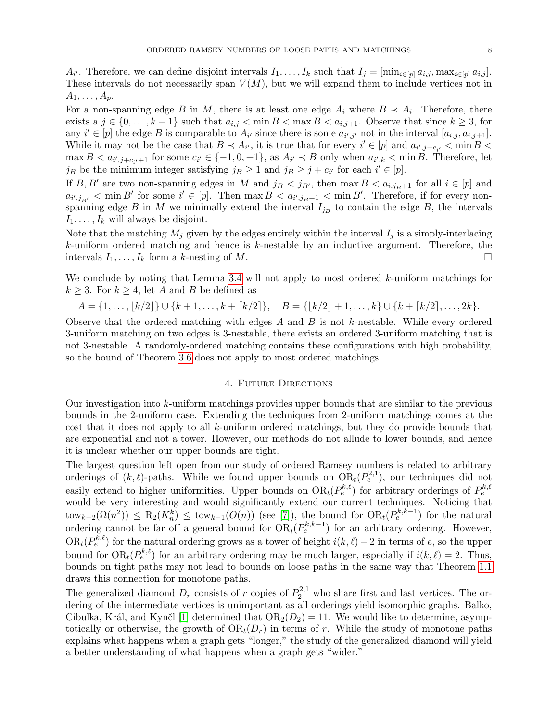$A_{i'}$ . Therefore, we can define disjoint intervals  $I_1, \ldots, I_k$  such that  $I_j = [\min_{i \in [p]} a_{i,j}, \max_{i \in [p]} a_{i,j}]$ . These intervals do not necessarily span  $V(M)$ , but we will expand them to include vertices not in  $A_1, \ldots, A_p$ .

For a non-spanning edge B in M, there is at least one edge  $A_i$  where  $B \prec A_i$ . Therefore, there exists a  $j \in \{0, \ldots, k-1\}$  such that  $a_{i,j} < \min B < \max B < a_{i,j+1}$ . Observe that since  $k \geq 3$ , for any  $i' \in [p]$  the edge B is comparable to  $A_{i'}$  since there is some  $a_{i',j'}$  not in the interval  $[a_{i,j}, a_{i,j+1}]$ . While it may not be the case that  $B \prec A_{i'}$ , it is true that for every  $i' \in [p]$  and  $a_{i',j+c_{i'}} < \min B$  $\max B < a_{i',j+c_{i'}+1}$  for some  $c_{i'} \in \{-1,0,+1\}$ , as  $A_{i'} \prec B$  only when  $a_{i',k} < \min B$ . Therefore, let j<sub>B</sub> be the minimum integer satisfying  $j_B \geq 1$  and  $j_B \geq j + c_{i'}$  for each  $i' \in [p]$ .

If B, B' are two non-spanning edges in M and  $j_B < j_{B'}$ , then max  $B < a_{i,j_B+1}$  for all  $i \in [p]$  and  $a_{i',j_{B'}} < \min B'$  for some  $i' \in [p]$ . Then  $\max B < a_{i',j_{B}+1} < \min B'$ . Therefore, if for every nonspanning edge B in M we minimally extend the interval  $I_{j_B}$  to contain the edge B, the intervals  $I_1, \ldots, I_k$  will always be disjoint.

Note that the matching  $M_j$  given by the edges entirely within the interval  $I_j$  is a simply-interlacing  $k$ -uniform ordered matching and hence is  $k$ -nestable by an inductive argument. Therefore, the intervals  $I_1, \ldots, I_k$  form a k-nesting of M.

We conclude by noting that Lemma [3.4](#page-5-2) will not apply to most ordered  $k$ -uniform matchings for  $k \geq 3$ . For  $k \geq 4$ , let A and B be defined as

$$
A = \{1, \ldots, \lfloor k/2 \rfloor\} \cup \{k+1, \ldots, k+\lceil k/2 \rceil\}, \quad B = \{\lfloor k/2 \rfloor + 1, \ldots, k\} \cup \{k+\lceil k/2 \rceil, \ldots, 2k\}.
$$

Observe that the ordered matching with edges A and B is not k-nestable. While every ordered 3-uniform matching on two edges is 3-nestable, there exists an ordered 3-uniform matching that is not 3-nestable. A randomly-ordered matching contains these configurations with high probability, so the bound of Theorem [3.6](#page-6-0) does not apply to most ordered matchings.

## 4. Future Directions

<span id="page-7-0"></span>Our investigation into k-uniform matchings provides upper bounds that are similar to the previous bounds in the 2-uniform case. Extending the techniques from 2-uniform matchings comes at the cost that it does not apply to all k-uniform ordered matchings, but they do provide bounds that are exponential and not a tower. However, our methods do not allude to lower bounds, and hence it is unclear whether our upper bounds are tight.

The largest question left open from our study of ordered Ramsey numbers is related to arbitrary orderings of  $(k, \ell)$ -paths. While we found upper bounds on  $OR_{t}(P_{e}^{2,1})$ , our techniques did not easily extend to higher uniformities. Upper bounds on  $OR_t(P_e^{k,\ell})$  for arbitrary orderings of  $P_e^{k,\ell}$ would be very interesting and would significantly extend our current techniques. Noticing that  $\text{tow}_{k-2}(\Omega(n^2)) \leq R_2(K_n^k) \leq \text{tow}_{k-1}(O(n))$  (see [\[7\]](#page-8-13)), the bound for  $OR_t(P_e^{k,k-1})$  for the natural ordering cannot be far off a general bound for  $OR_t(P_e^{k,k-1})$  for an arbitrary ordering. However,  $OR_t(P_e^{k,\ell})$  for the natural ordering grows as a tower of height  $i(k,\ell) - 2$  in terms of e, so the upper bound for  $OR_t(P_e^{k,\ell})$  for an arbitrary ordering may be much larger, especially if  $i(k,\ell) = 2$ . Thus, bounds on tight paths may not lead to bounds on loose paths in the same way that Theorem [1.1](#page-1-0) draws this connection for monotone paths.

The generalized diamond  $D_r$  consists of r copies of  $P_2^{2,1}$  who share first and last vertices. The ordering of the intermediate vertices is unimportant as all orderings yield isomorphic graphs. Balko, Cibulka, Král, and Kynčl [\[1\]](#page-8-2) determined that  $OR_2(D_2) = 11$ . We would like to determine, asymptotically or otherwise, the growth of  $OR<sub>t</sub>(D<sub>r</sub>)$  in terms of r. While the study of monotone paths explains what happens when a graph gets "longer," the study of the generalized diamond will yield a better understanding of what happens when a graph gets "wider."